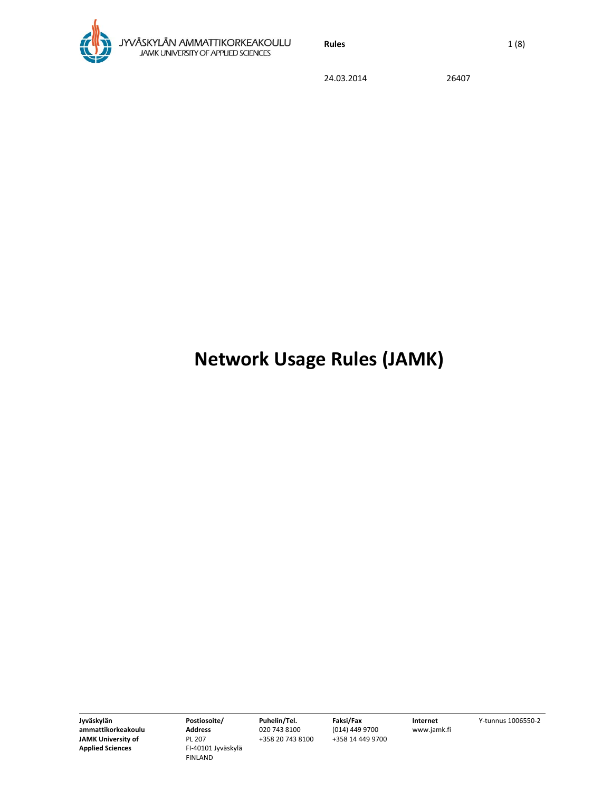

**Rules** 1 (8)

24.03.2014 26407

# **Network Usage Rules (JAMK)**

**Jyväskylän ammattikorkeakoulu JAMK University of Applied Sciences**

**Postiosoite/ Address** PL 207 FI‐40101 Jyväskylä FINLAND

**Puhelin/Tel.** 020 743 8100 +358 20 743 8100 **Faksi/Fax** (014) 449 9700 +358 14 449 9700

**Internet** www.jamk.fi Y‐tunnus 1006550‐2

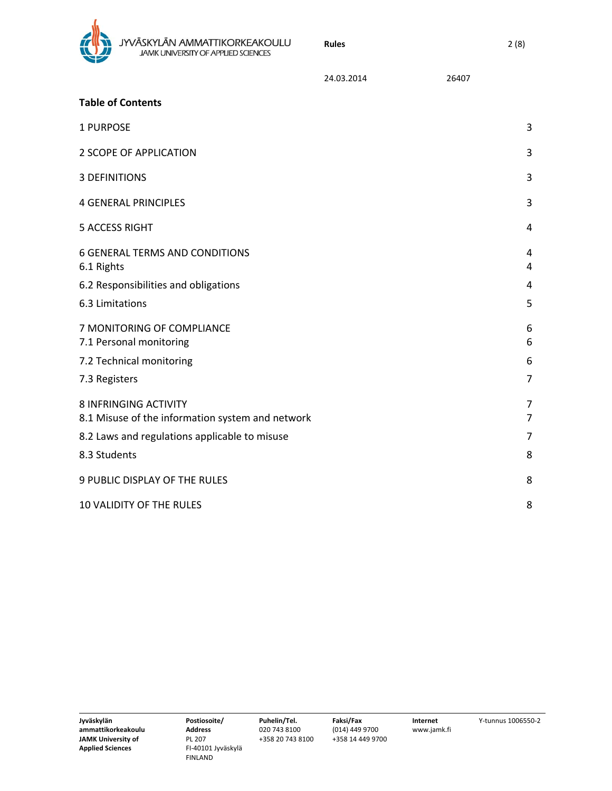

|                                                                                  | 24.03.2014 | 26407 |        |
|----------------------------------------------------------------------------------|------------|-------|--------|
| <b>Table of Contents</b>                                                         |            |       |        |
| 1 PURPOSE                                                                        |            |       | 3      |
| 2 SCOPE OF APPLICATION                                                           |            |       | 3      |
| <b>3 DEFINITIONS</b>                                                             |            |       | 3      |
| <b>4 GENERAL PRINCIPLES</b>                                                      |            |       | 3      |
| <b>5 ACCESS RIGHT</b>                                                            |            |       | 4      |
| <b>6 GENERAL TERMS AND CONDITIONS</b><br>6.1 Rights                              |            |       | 4<br>4 |
| 6.2 Responsibilities and obligations                                             |            |       | 4      |
| 6.3 Limitations                                                                  |            |       | 5      |
| 7 MONITORING OF COMPLIANCE<br>7.1 Personal monitoring                            |            |       | 6<br>6 |
| 7.2 Technical monitoring                                                         |            |       | 6      |
| 7.3 Registers                                                                    |            |       | 7      |
| <b>8 INFRINGING ACTIVITY</b><br>8.1 Misuse of the information system and network |            |       | 7<br>7 |
| 8.2 Laws and regulations applicable to misuse                                    |            |       | 7      |
| 8.3 Students                                                                     |            |       | 8      |
| 9 PUBLIC DISPLAY OF THE RULES                                                    |            |       | 8      |
| <b>10 VALIDITY OF THE RULES</b>                                                  |            |       | 8      |

**Faksi/Fax** (014) 449 9700 +358 14 449 9700

**Rules** 2 (8)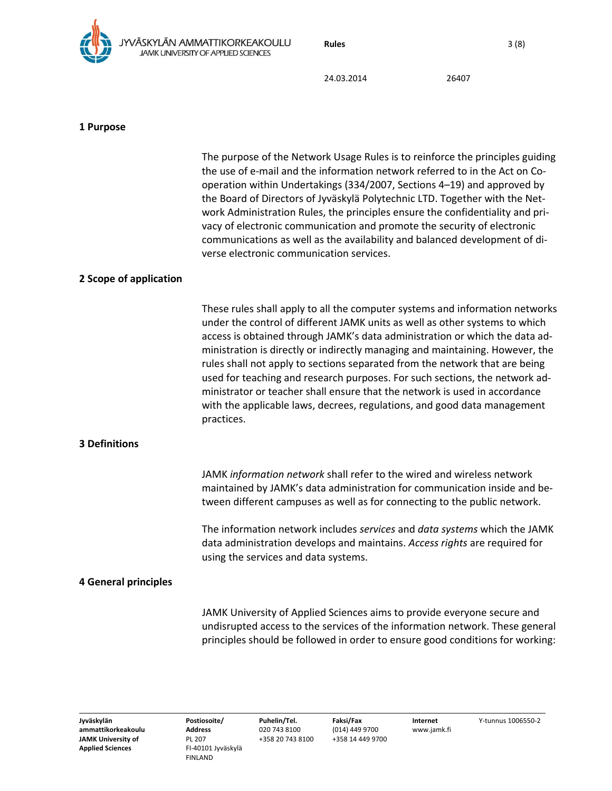**Rules** 3 (8)



24.03.2014 26407

### **1 Purpose**

|                             | The purpose of the Network Usage Rules is to reinforce the principles guiding<br>the use of e-mail and the information network referred to in the Act on Co-<br>operation within Undertakings (334/2007, Sections 4-19) and approved by<br>the Board of Directors of Jyväskylä Polytechnic LTD. Together with the Net-<br>work Administration Rules, the principles ensure the confidentiality and pri-<br>vacy of electronic communication and promote the security of electronic<br>communications as well as the availability and balanced development of di-<br>verse electronic communication services.                                                      |
|-----------------------------|-------------------------------------------------------------------------------------------------------------------------------------------------------------------------------------------------------------------------------------------------------------------------------------------------------------------------------------------------------------------------------------------------------------------------------------------------------------------------------------------------------------------------------------------------------------------------------------------------------------------------------------------------------------------|
| 2 Scope of application      |                                                                                                                                                                                                                                                                                                                                                                                                                                                                                                                                                                                                                                                                   |
|                             | These rules shall apply to all the computer systems and information networks<br>under the control of different JAMK units as well as other systems to which<br>access is obtained through JAMK's data administration or which the data ad-<br>ministration is directly or indirectly managing and maintaining. However, the<br>rules shall not apply to sections separated from the network that are being<br>used for teaching and research purposes. For such sections, the network ad-<br>ministrator or teacher shall ensure that the network is used in accordance<br>with the applicable laws, decrees, regulations, and good data management<br>practices. |
| <b>3 Definitions</b>        |                                                                                                                                                                                                                                                                                                                                                                                                                                                                                                                                                                                                                                                                   |
|                             | JAMK information network shall refer to the wired and wireless network<br>maintained by JAMK's data administration for communication inside and be-<br>tween different campuses as well as for connecting to the public network.                                                                                                                                                                                                                                                                                                                                                                                                                                  |
|                             | The information network includes services and data systems which the JAMK<br>data administration develops and maintains. Access rights are required for<br>using the services and data systems.                                                                                                                                                                                                                                                                                                                                                                                                                                                                   |
| <b>4 General principles</b> |                                                                                                                                                                                                                                                                                                                                                                                                                                                                                                                                                                                                                                                                   |
|                             | JAMK University of Applied Sciences aims to provide everyone secure and<br>undisrupted access to the services of the information network. These general<br>principles should be followed in order to ensure good conditions for working:                                                                                                                                                                                                                                                                                                                                                                                                                          |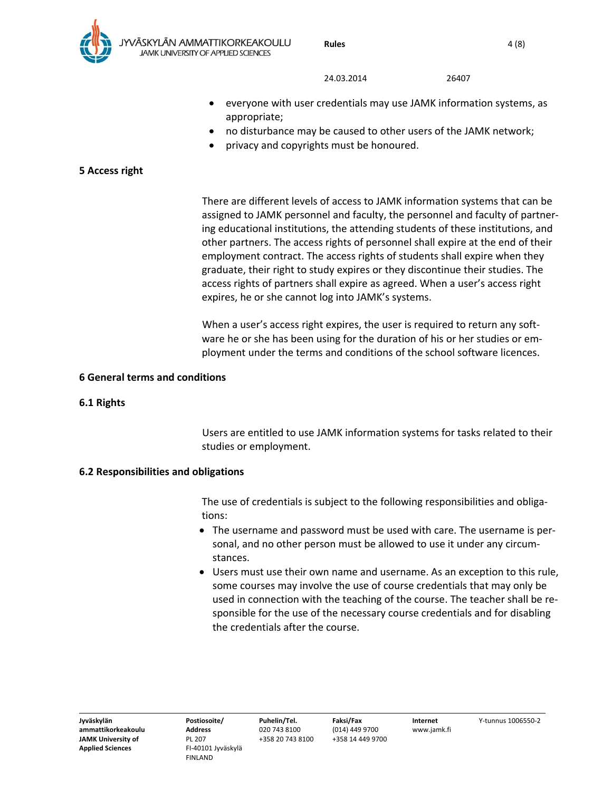

- everyone with user credentials may use JAMK information systems, as appropriate;
- no disturbance may be caused to other users of the JAMK network;
- privacy and copyrights must be honoured.

## **5 Access right**

There are different levels of access to JAMK information systems that can be assigned to JAMK personnel and faculty, the personnel and faculty of partner‐ ing educational institutions, the attending students of these institutions, and other partners. The access rights of personnel shall expire at the end of their employment contract. The access rights of students shall expire when they graduate, their right to study expires or they discontinue their studies. The access rights of partners shall expire as agreed. When a user's access right expires, he or she cannot log into JAMK's systems.

When a user's access right expires, the user is required to return any software he or she has been using for the duration of his or her studies or em‐ ployment under the terms and conditions of the school software licences.

#### **6 General terms and conditions**

#### **6.1 Rights**

Users are entitled to use JAMK information systems for tasks related to their studies or employment.

#### **6.2 Responsibilities and obligations**

The use of credentials is subject to the following responsibilities and obliga‐ tions:

- The username and password must be used with care. The username is personal, and no other person must be allowed to use it under any circum‐ stances.
- Users must use their own name and username. As an exception to this rule, some courses may involve the use of course credentials that may only be used in connection with the teaching of the course. The teacher shall be re‐ sponsible for the use of the necessary course credentials and for disabling the credentials after the course.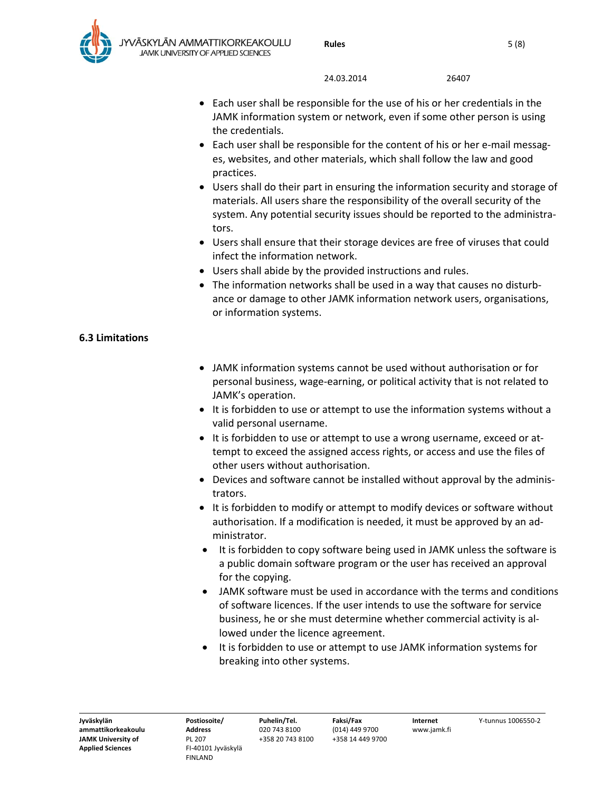

- Each user shall be responsible for the use of his or her credentials in the JAMK information system or network, even if some other person is using the credentials.
- Each user shall be responsible for the content of his or her e-mail messages, websites, and other materials, which shall follow the law and good practices.
- Users shall do their part in ensuring the information security and storage of materials. All users share the responsibility of the overall security of the system. Any potential security issues should be reported to the administrators.
- Users shall ensure that their storage devices are free of viruses that could infect the information network.
- Users shall abide by the provided instructions and rules.
- The information networks shall be used in a way that causes no disturbance or damage to other JAMK information network users, organisations, or information systems.

# **6.3 Limitations**

- JAMK information systems cannot be used without authorisation or for personal business, wage‐earning, or political activity that is not related to JAMK's operation.
- It is forbidden to use or attempt to use the information systems without a valid personal username.
- It is forbidden to use or attempt to use a wrong username, exceed or attempt to exceed the assigned access rights, or access and use the files of other users without authorisation.
- Devices and software cannot be installed without approval by the administrators.
- It is forbidden to modify or attempt to modify devices or software without authorisation. If a modification is needed, it must be approved by an ad‐ ministrator.
- It is forbidden to copy software being used in JAMK unless the software is a public domain software program or the user has received an approval for the copying.
- JAMK software must be used in accordance with the terms and conditions of software licences. If the user intends to use the software for service business, he or she must determine whether commercial activity is al‐ lowed under the licence agreement.
- It is forbidden to use or attempt to use JAMK information systems for breaking into other systems.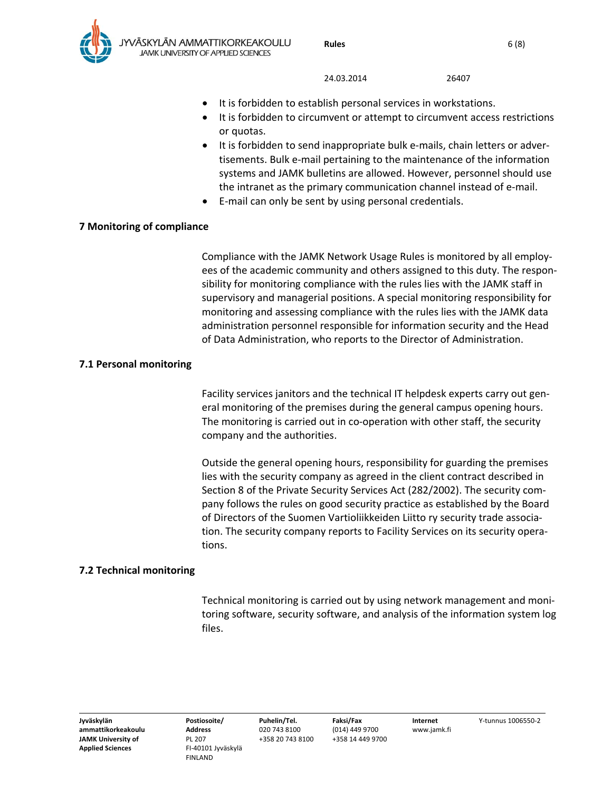- It is forbidden to establish personal services in workstations.
- It is forbidden to circumvent or attempt to circumvent access restrictions or quotas.
- It is forbidden to send inappropriate bulk e‐mails, chain letters or adver‐ tisements. Bulk e‐mail pertaining to the maintenance of the information systems and JAMK bulletins are allowed. However, personnel should use the intranet as the primary communication channel instead of e‐mail.
- E‐mail can only be sent by using personal credentials.

### **7 Monitoring of compliance**

Compliance with the JAMK Network Usage Rules is monitored by all employ‐ ees of the academic community and others assigned to this duty. The respon‐ sibility for monitoring compliance with the rules lies with the JAMK staff in supervisory and managerial positions. A special monitoring responsibility for monitoring and assessing compliance with the rules lies with the JAMK data administration personnel responsible for information security and the Head of Data Administration, who reports to the Director of Administration.

### **7.1 Personal monitoring**

Facility services janitors and the technical IT helpdesk experts carry out gen‐ eral monitoring of the premises during the general campus opening hours. The monitoring is carried out in co-operation with other staff, the security company and the authorities.

Outside the general opening hours, responsibility for guarding the premises lies with the security company as agreed in the client contract described in Section 8 of the Private Security Services Act (282/2002). The security com‐ pany follows the rules on good security practice as established by the Board of Directors of the Suomen Vartioliikkeiden Liitto ry security trade associa‐ tion. The security company reports to Facility Services on its security opera‐ tions.

## **7.2 Technical monitoring**

Technical monitoring is carried out by using network management and moni‐ toring software, security software, and analysis of the information system log files.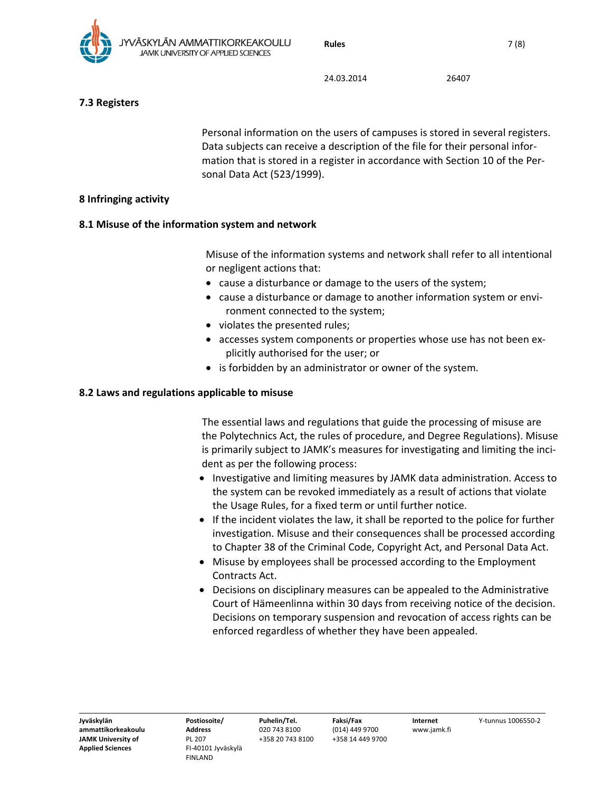

# **7.3 Registers**

Personal information on the users of campuses is stored in several registers. Data subjects can receive a description of the file for their personal infor‐ mation that is stored in a register in accordance with Section 10 of the Per‐ sonal Data Act (523/1999).

# **8 Infringing activity**

# **8.1 Misuse of the information system and network**

Misuse of the information systems and network shall refer to all intentional or negligent actions that:

- cause a disturbance or damage to the users of the system;
- cause a disturbance or damage to another information system or environment connected to the system;
- violates the presented rules;
- accesses system components or properties whose use has not been explicitly authorised for the user; or
- is forbidden by an administrator or owner of the system.

# **8.2 Laws and regulations applicable to misuse**

The essential laws and regulations that guide the processing of misuse are the Polytechnics Act, the rules of procedure, and Degree Regulations). Misuse is primarily subject to JAMK's measures for investigating and limiting the inci‐ dent as per the following process:

- Investigative and limiting measures by JAMK data administration. Access to the system can be revoked immediately as a result of actions that violate the Usage Rules, for a fixed term or until further notice.
- If the incident violates the law, it shall be reported to the police for further investigation. Misuse and their consequences shall be processed according to Chapter 38 of the Criminal Code, Copyright Act, and Personal Data Act.
- Misuse by employees shall be processed according to the Employment Contracts Act.
- Decisions on disciplinary measures can be appealed to the Administrative Court of Hämeenlinna within 30 days from receiving notice of the decision. Decisions on temporary suspension and revocation of access rights can be enforced regardless of whether they have been appealed.